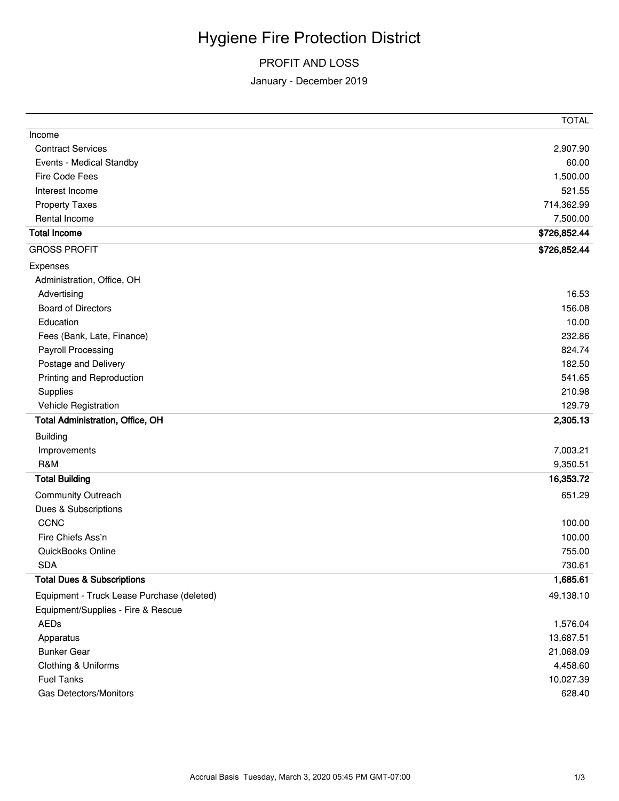## Hygiene Fire Protection District

## PROFIT AND LOSS

## January - December 2019

|                                            | <b>TOTAL</b> |
|--------------------------------------------|--------------|
| Income                                     |              |
| <b>Contract Services</b>                   | 2,907.90     |
| Events - Medical Standby                   | 60.00        |
| Fire Code Fees                             | 1,500.00     |
| Interest Income                            | 521.55       |
| <b>Property Taxes</b>                      | 714,362.99   |
| Rental Income                              | 7,500.00     |
| <b>Total Income</b>                        | \$726,852.44 |
| <b>GROSS PROFIT</b>                        | \$726,852.44 |
| Expenses                                   |              |
| Administration, Office, OH                 |              |
| Advertising                                | 16.53        |
| <b>Board of Directors</b>                  | 156.08       |
| Education                                  | 10.00        |
| Fees (Bank, Late, Finance)                 | 232.86       |
| <b>Payroll Processing</b>                  | 824.74       |
| Postage and Delivery                       | 182.50       |
| Printing and Reproduction                  | 541.65       |
| Supplies                                   | 210.98       |
| Vehicle Registration                       | 129.79       |
| Total Administration, Office, OH           | 2,305.13     |
| <b>Building</b>                            |              |
| Improvements                               | 7,003.21     |
| R&M                                        | 9,350.51     |
| <b>Total Building</b>                      | 16,353.72    |
| Community Outreach                         | 651.29       |
| Dues & Subscriptions                       |              |
| CCNC                                       | 100.00       |
| Fire Chiefs Ass'n                          | 100.00       |
| QuickBooks Online                          | 755.00       |
| <b>SDA</b>                                 | 730.61       |
| <b>Total Dues &amp; Subscriptions</b>      | 1,685.61     |
| Equipment - Truck Lease Purchase (deleted) | 49,138.10    |
| Equipment/Supplies - Fire & Rescue         |              |
| AEDs                                       | 1,576.04     |
| Apparatus                                  | 13,687.51    |
| <b>Bunker Gear</b>                         | 21,068.09    |
| Clothing & Uniforms                        | 4,458.60     |
| <b>Fuel Tanks</b>                          | 10,027.39    |
| Gas Detectors/Monitors                     | 628.40       |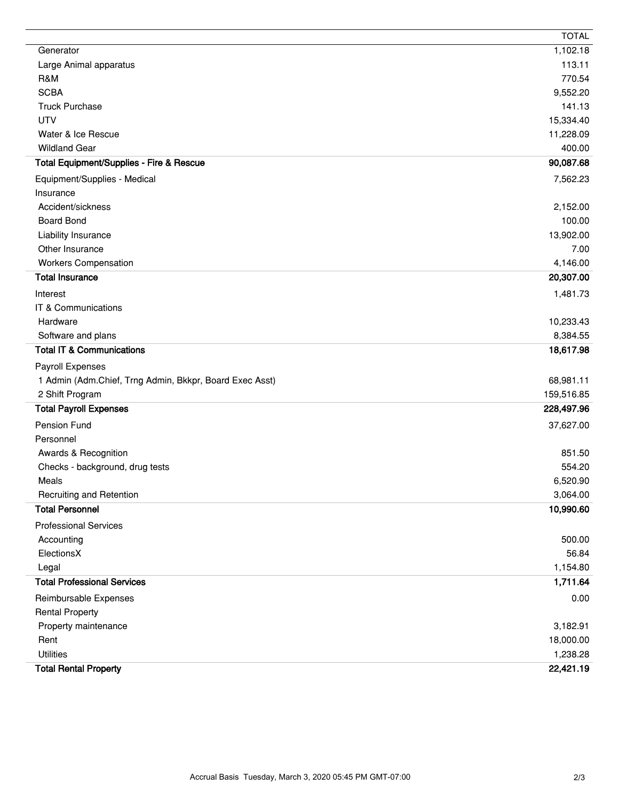|                                                         | <b>TOTAL</b> |
|---------------------------------------------------------|--------------|
| Generator                                               | 1,102.18     |
| Large Animal apparatus                                  | 113.11       |
| R&M                                                     | 770.54       |
| <b>SCBA</b>                                             | 9,552.20     |
| <b>Truck Purchase</b>                                   | 141.13       |
| <b>UTV</b>                                              | 15,334.40    |
| Water & Ice Rescue                                      | 11,228.09    |
| <b>Wildland Gear</b>                                    | 400.00       |
| Total Equipment/Supplies - Fire & Rescue                | 90,087.68    |
| Equipment/Supplies - Medical                            | 7,562.23     |
| Insurance                                               |              |
| Accident/sickness                                       | 2,152.00     |
| <b>Board Bond</b>                                       | 100.00       |
| Liability Insurance                                     | 13,902.00    |
| Other Insurance                                         | 7.00         |
| <b>Workers Compensation</b>                             | 4,146.00     |
| <b>Total Insurance</b>                                  | 20,307.00    |
| Interest                                                | 1,481.73     |
| IT & Communications                                     |              |
| Hardware                                                | 10,233.43    |
| Software and plans                                      | 8,384.55     |
| <b>Total IT &amp; Communications</b>                    | 18,617.98    |
| Payroll Expenses                                        |              |
| 1 Admin (Adm.Chief, Trng Admin, Bkkpr, Board Exec Asst) | 68,981.11    |
| 2 Shift Program                                         | 159,516.85   |
| <b>Total Payroll Expenses</b>                           | 228,497.96   |
| Pension Fund                                            | 37,627.00    |
| Personnel                                               |              |
| Awards & Recognition                                    | 851.50       |
| Checks - background, drug tests                         | 554.20       |
| Meals                                                   | 6,520.90     |
| Recruiting and Retention                                | 3,064.00     |
| <b>Total Personnel</b>                                  | 10,990.60    |
| <b>Professional Services</b>                            |              |
| Accounting                                              | 500.00       |
| ElectionsX                                              | 56.84        |
| Legal                                                   | 1,154.80     |
| <b>Total Professional Services</b>                      | 1,711.64     |
| Reimbursable Expenses                                   | 0.00         |
| <b>Rental Property</b>                                  |              |
| Property maintenance                                    | 3,182.91     |
| Rent                                                    | 18,000.00    |
| <b>Utilities</b>                                        | 1,238.28     |
| <b>Total Rental Property</b>                            | 22,421.19    |
|                                                         |              |